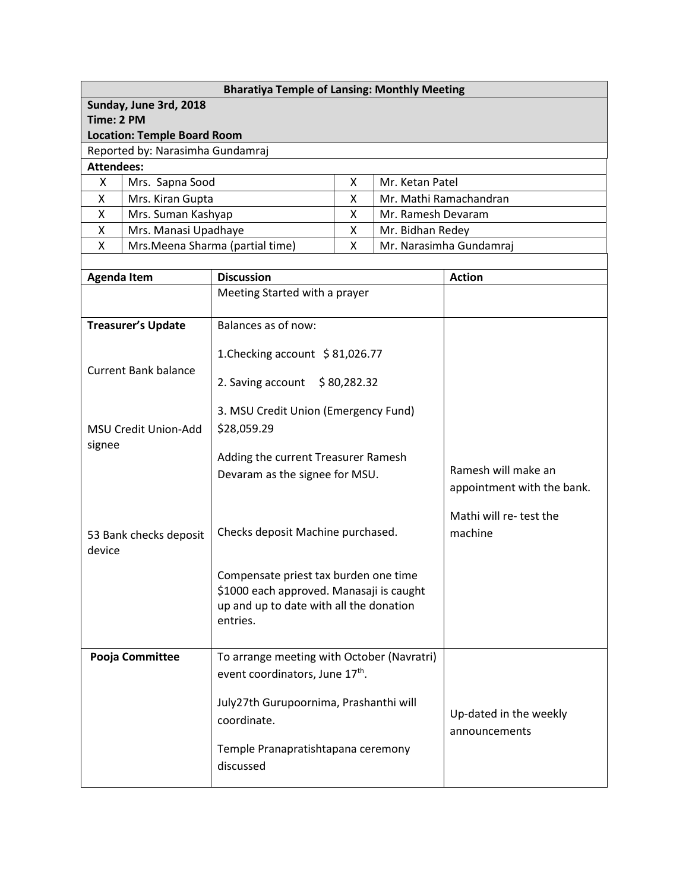| <b>Bharatiya Temple of Lansing: Monthly Meeting</b> |                             |                                                                  |  |                        |                            |  |  |  |
|-----------------------------------------------------|-----------------------------|------------------------------------------------------------------|--|------------------------|----------------------------|--|--|--|
| Sunday, June 3rd, 2018                              |                             |                                                                  |  |                        |                            |  |  |  |
| Time: 2 PM                                          |                             |                                                                  |  |                        |                            |  |  |  |
| <b>Location: Temple Board Room</b>                  |                             |                                                                  |  |                        |                            |  |  |  |
| Reported by: Narasimha Gundamraj                    |                             |                                                                  |  |                        |                            |  |  |  |
| <b>Attendees:</b>                                   |                             |                                                                  |  |                        |                            |  |  |  |
| X                                                   | Mrs. Sapna Sood             | X.<br>Mr. Ketan Patel                                            |  |                        |                            |  |  |  |
| X                                                   | Mrs. Kiran Gupta            | X<br>Mr. Mathi Ramachandran                                      |  |                        |                            |  |  |  |
| X<br>Mrs. Suman Kashyap                             |                             | X<br>Mr. Ramesh Devaram                                          |  |                        |                            |  |  |  |
| X<br>X                                              | Mrs. Manasi Upadhaye        | X<br>Mr. Bidhan Redey                                            |  |                        |                            |  |  |  |
|                                                     |                             | Mrs. Meena Sharma (partial time)<br>X<br>Mr. Narasimha Gundamraj |  |                        |                            |  |  |  |
| <b>Agenda Item</b>                                  |                             | <b>Discussion</b>                                                |  |                        | <b>Action</b>              |  |  |  |
|                                                     |                             | Meeting Started with a prayer                                    |  |                        |                            |  |  |  |
|                                                     |                             |                                                                  |  |                        |                            |  |  |  |
|                                                     | <b>Treasurer's Update</b>   | Balances as of now:                                              |  |                        |                            |  |  |  |
|                                                     |                             |                                                                  |  |                        |                            |  |  |  |
|                                                     |                             | 1. Checking account \$81,026.77                                  |  |                        |                            |  |  |  |
|                                                     | <b>Current Bank balance</b> | 2. Saving account<br>\$80,282.32                                 |  |                        |                            |  |  |  |
|                                                     |                             |                                                                  |  |                        |                            |  |  |  |
|                                                     |                             | 3. MSU Credit Union (Emergency Fund)<br>\$28,059.29              |  |                        |                            |  |  |  |
|                                                     | <b>MSU Credit Union-Add</b> |                                                                  |  |                        |                            |  |  |  |
| signee                                              |                             | Adding the current Treasurer Ramesh                              |  |                        |                            |  |  |  |
|                                                     |                             | Devaram as the signee for MSU.                                   |  |                        | Ramesh will make an        |  |  |  |
|                                                     |                             |                                                                  |  |                        | appointment with the bank. |  |  |  |
|                                                     |                             |                                                                  |  |                        | Mathi will re- test the    |  |  |  |
|                                                     |                             |                                                                  |  |                        |                            |  |  |  |
|                                                     | 53 Bank checks deposit      | Checks deposit Machine purchased.                                |  |                        | machine                    |  |  |  |
| device                                              |                             |                                                                  |  |                        |                            |  |  |  |
|                                                     |                             | Compensate priest tax burden one time                            |  |                        |                            |  |  |  |
|                                                     |                             | \$1000 each approved. Manasaji is caught                         |  |                        |                            |  |  |  |
|                                                     |                             | up and up to date with all the donation                          |  |                        |                            |  |  |  |
|                                                     |                             | entries.                                                         |  |                        |                            |  |  |  |
|                                                     |                             |                                                                  |  |                        |                            |  |  |  |
|                                                     | Pooja Committee             | To arrange meeting with October (Navratri)                       |  |                        |                            |  |  |  |
|                                                     |                             | event coordinators, June 17th.                                   |  |                        |                            |  |  |  |
|                                                     |                             | July27th Gurupoornima, Prashanthi will                           |  |                        |                            |  |  |  |
|                                                     |                             | coordinate.                                                      |  | Up-dated in the weekly |                            |  |  |  |
|                                                     |                             |                                                                  |  | announcements          |                            |  |  |  |
|                                                     |                             | Temple Pranapratishtapana ceremony                               |  |                        |                            |  |  |  |
|                                                     |                             | discussed                                                        |  |                        |                            |  |  |  |
|                                                     |                             |                                                                  |  |                        |                            |  |  |  |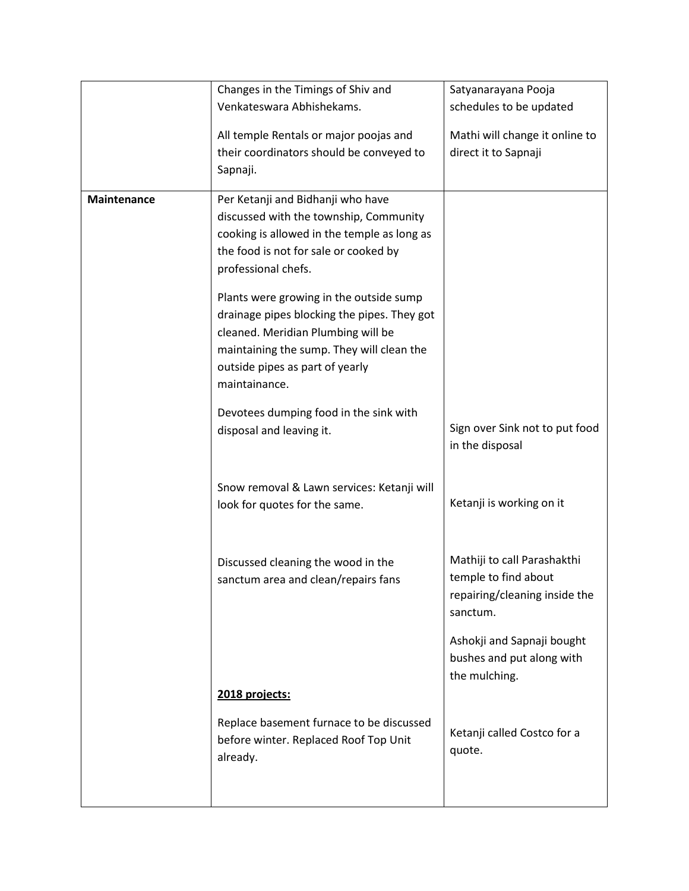|             | Changes in the Timings of Shiv and                                                                                                                                                                                                    | Satyanarayana Pooja                                                                              |
|-------------|---------------------------------------------------------------------------------------------------------------------------------------------------------------------------------------------------------------------------------------|--------------------------------------------------------------------------------------------------|
|             | Venkateswara Abhishekams.                                                                                                                                                                                                             | schedules to be updated                                                                          |
|             | All temple Rentals or major poojas and<br>their coordinators should be conveyed to                                                                                                                                                    | Mathi will change it online to<br>direct it to Sapnaji                                           |
|             | Sapnaji.                                                                                                                                                                                                                              |                                                                                                  |
| Maintenance | Per Ketanji and Bidhanji who have<br>discussed with the township, Community<br>cooking is allowed in the temple as long as<br>the food is not for sale or cooked by<br>professional chefs.<br>Plants were growing in the outside sump |                                                                                                  |
|             | drainage pipes blocking the pipes. They got<br>cleaned. Meridian Plumbing will be<br>maintaining the sump. They will clean the<br>outside pipes as part of yearly<br>maintainance.                                                    |                                                                                                  |
|             | Devotees dumping food in the sink with<br>disposal and leaving it.                                                                                                                                                                    | Sign over Sink not to put food<br>in the disposal                                                |
|             | Snow removal & Lawn services: Ketanji will<br>look for quotes for the same.                                                                                                                                                           | Ketanji is working on it                                                                         |
|             | Discussed cleaning the wood in the<br>sanctum area and clean/repairs fans                                                                                                                                                             | Mathiji to call Parashakthi<br>temple to find about<br>repairing/cleaning inside the<br>sanctum. |
|             |                                                                                                                                                                                                                                       | Ashokji and Sapnaji bought<br>bushes and put along with<br>the mulching.                         |
|             | 2018 projects:                                                                                                                                                                                                                        |                                                                                                  |
|             | Replace basement furnace to be discussed<br>before winter. Replaced Roof Top Unit<br>already.                                                                                                                                         | Ketanji called Costco for a<br>quote.                                                            |
|             |                                                                                                                                                                                                                                       |                                                                                                  |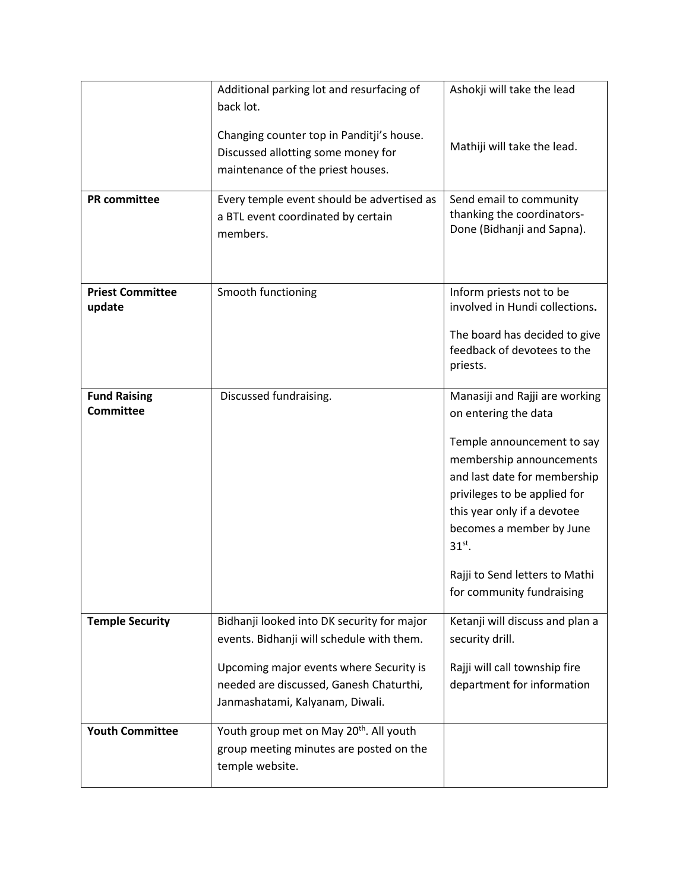| Changing counter top in Panditji's house.<br>Mathiji will take the lead.<br>Discussed allotting some money for<br>maintenance of the priest houses.<br><b>PR</b> committee<br>Every temple event should be advertised as<br>Send email to community<br>thanking the coordinators-<br>a BTL event coordinated by certain<br>Done (Bidhanji and Sapna).<br>members.<br><b>Priest Committee</b><br>Smooth functioning<br>Inform priests not to be<br>involved in Hundi collections.<br>update<br>The board has decided to give<br>feedback of devotees to the<br>priests.<br>Discussed fundraising.<br><b>Fund Raising</b><br>Manasiji and Rajji are working<br><b>Committee</b><br>on entering the data<br>Temple announcement to say<br>membership announcements<br>and last date for membership<br>privileges to be applied for | Additional parking lot and resurfacing of | Ashokji will take the lead  |
|---------------------------------------------------------------------------------------------------------------------------------------------------------------------------------------------------------------------------------------------------------------------------------------------------------------------------------------------------------------------------------------------------------------------------------------------------------------------------------------------------------------------------------------------------------------------------------------------------------------------------------------------------------------------------------------------------------------------------------------------------------------------------------------------------------------------------------|-------------------------------------------|-----------------------------|
|                                                                                                                                                                                                                                                                                                                                                                                                                                                                                                                                                                                                                                                                                                                                                                                                                                 | back lot.                                 |                             |
|                                                                                                                                                                                                                                                                                                                                                                                                                                                                                                                                                                                                                                                                                                                                                                                                                                 |                                           |                             |
|                                                                                                                                                                                                                                                                                                                                                                                                                                                                                                                                                                                                                                                                                                                                                                                                                                 |                                           |                             |
|                                                                                                                                                                                                                                                                                                                                                                                                                                                                                                                                                                                                                                                                                                                                                                                                                                 |                                           |                             |
|                                                                                                                                                                                                                                                                                                                                                                                                                                                                                                                                                                                                                                                                                                                                                                                                                                 |                                           |                             |
|                                                                                                                                                                                                                                                                                                                                                                                                                                                                                                                                                                                                                                                                                                                                                                                                                                 |                                           |                             |
|                                                                                                                                                                                                                                                                                                                                                                                                                                                                                                                                                                                                                                                                                                                                                                                                                                 |                                           |                             |
|                                                                                                                                                                                                                                                                                                                                                                                                                                                                                                                                                                                                                                                                                                                                                                                                                                 |                                           |                             |
|                                                                                                                                                                                                                                                                                                                                                                                                                                                                                                                                                                                                                                                                                                                                                                                                                                 |                                           |                             |
|                                                                                                                                                                                                                                                                                                                                                                                                                                                                                                                                                                                                                                                                                                                                                                                                                                 |                                           |                             |
|                                                                                                                                                                                                                                                                                                                                                                                                                                                                                                                                                                                                                                                                                                                                                                                                                                 |                                           |                             |
|                                                                                                                                                                                                                                                                                                                                                                                                                                                                                                                                                                                                                                                                                                                                                                                                                                 |                                           |                             |
|                                                                                                                                                                                                                                                                                                                                                                                                                                                                                                                                                                                                                                                                                                                                                                                                                                 |                                           |                             |
|                                                                                                                                                                                                                                                                                                                                                                                                                                                                                                                                                                                                                                                                                                                                                                                                                                 |                                           |                             |
|                                                                                                                                                                                                                                                                                                                                                                                                                                                                                                                                                                                                                                                                                                                                                                                                                                 |                                           |                             |
|                                                                                                                                                                                                                                                                                                                                                                                                                                                                                                                                                                                                                                                                                                                                                                                                                                 |                                           |                             |
|                                                                                                                                                                                                                                                                                                                                                                                                                                                                                                                                                                                                                                                                                                                                                                                                                                 |                                           |                             |
|                                                                                                                                                                                                                                                                                                                                                                                                                                                                                                                                                                                                                                                                                                                                                                                                                                 |                                           |                             |
|                                                                                                                                                                                                                                                                                                                                                                                                                                                                                                                                                                                                                                                                                                                                                                                                                                 |                                           |                             |
|                                                                                                                                                                                                                                                                                                                                                                                                                                                                                                                                                                                                                                                                                                                                                                                                                                 |                                           | this year only if a devotee |
| becomes a member by June                                                                                                                                                                                                                                                                                                                                                                                                                                                                                                                                                                                                                                                                                                                                                                                                        |                                           |                             |
| $31^{st}$ .                                                                                                                                                                                                                                                                                                                                                                                                                                                                                                                                                                                                                                                                                                                                                                                                                     |                                           |                             |
| Rajji to Send letters to Mathi                                                                                                                                                                                                                                                                                                                                                                                                                                                                                                                                                                                                                                                                                                                                                                                                  |                                           |                             |
| for community fundraising                                                                                                                                                                                                                                                                                                                                                                                                                                                                                                                                                                                                                                                                                                                                                                                                       |                                           |                             |
| <b>Temple Security</b><br>Bidhanji looked into DK security for major<br>Ketanji will discuss and plan a                                                                                                                                                                                                                                                                                                                                                                                                                                                                                                                                                                                                                                                                                                                         |                                           |                             |
| events. Bidhanji will schedule with them.<br>security drill.                                                                                                                                                                                                                                                                                                                                                                                                                                                                                                                                                                                                                                                                                                                                                                    |                                           |                             |
| Upcoming major events where Security is<br>Rajji will call township fire                                                                                                                                                                                                                                                                                                                                                                                                                                                                                                                                                                                                                                                                                                                                                        |                                           |                             |
| needed are discussed, Ganesh Chaturthi,<br>department for information                                                                                                                                                                                                                                                                                                                                                                                                                                                                                                                                                                                                                                                                                                                                                           |                                           |                             |
| Janmashatami, Kalyanam, Diwali.                                                                                                                                                                                                                                                                                                                                                                                                                                                                                                                                                                                                                                                                                                                                                                                                 |                                           |                             |
| Youth group met on May 20 <sup>th</sup> . All youth<br><b>Youth Committee</b>                                                                                                                                                                                                                                                                                                                                                                                                                                                                                                                                                                                                                                                                                                                                                   |                                           |                             |
| group meeting minutes are posted on the                                                                                                                                                                                                                                                                                                                                                                                                                                                                                                                                                                                                                                                                                                                                                                                         |                                           |                             |
| temple website.                                                                                                                                                                                                                                                                                                                                                                                                                                                                                                                                                                                                                                                                                                                                                                                                                 |                                           |                             |